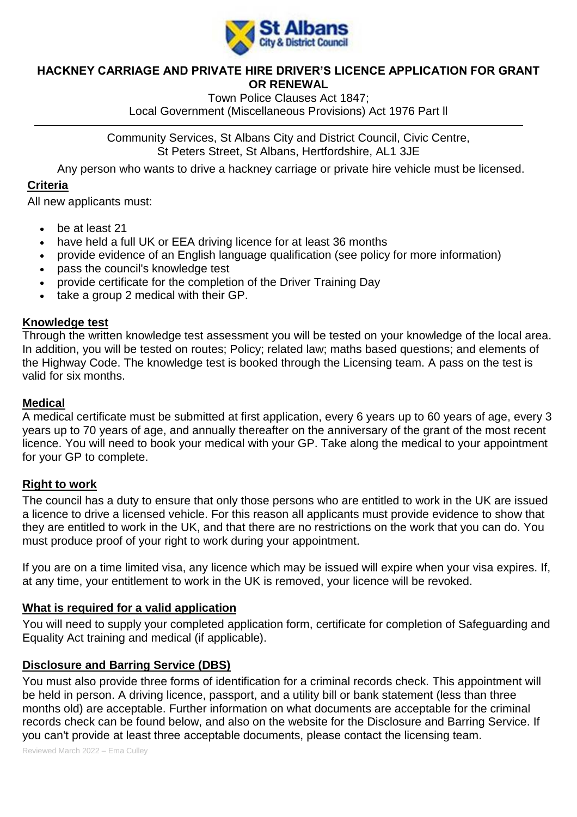

# **HACKNEY CARRIAGE AND PRIVATE HIRE DRIVER'S LICENCE APPLICATION FOR GRANT OR RENEWAL**

Town Police Clauses Act 1847;

Local Government (Miscellaneous Provisions) Act 1976 Part ll

Community Services, St Albans City and District Council, Civic Centre, St Peters Street, St Albans, Hertfordshire, AL1 3JE

Any person who wants to drive a hackney carriage or private hire vehicle must be licensed.

# **Criteria**

All new applicants must:

- be at least 21
- have held a full UK or EEA driving licence for at least 36 months
- provide evidence of an English language qualification (see policy for more information)
- pass the council's knowledge test
- provide certificate for the completion of the Driver Training Day
- take a group 2 medical with their GP.

# **Knowledge test**

Through the written knowledge test assessment you will be tested on your knowledge of the local area. In addition, you will be tested on routes; Policy; related law; maths based questions; and elements of the Highway Code. The knowledge test is booked through the Licensing team. A pass on the test is valid for six months.

# **Medical**

A medical certificate must be submitted at first application, every 6 years up to 60 years of age, every 3 years up to 70 years of age, and annually thereafter on the anniversary of the grant of the most recent licence. You will need to book your medical with your GP. Take along the medical to your appointment for your GP to complete.

# **Right to work**

The council has a duty to ensure that only those persons who are entitled to work in the UK are issued a licence to drive a licensed vehicle. For this reason all applicants must provide evidence to show that they are entitled to work in the UK, and that there are no restrictions on the work that you can do. You must produce proof of your right to work during your appointment.

If you are on a time limited visa, any licence which may be issued will expire when your visa expires. If, at any time, your entitlement to work in the UK is removed, your licence will be revoked.

### **What is required for a valid application**

You will need to supply your completed application form, certificate for completion of Safeguarding and Equality Act training and medical (if applicable).

# **Disclosure and Barring Service (DBS)**

You must also provide three forms of identification for a criminal records check. This appointment will be held in person. A driving licence, passport, and a utility bill or bank statement (less than three months old) are acceptable. Further information on what documents are acceptable for the criminal records check can be found below, and also on the website for the Disclosure and Barring Service. If you can't provide at least three acceptable documents, please contact the licensing team.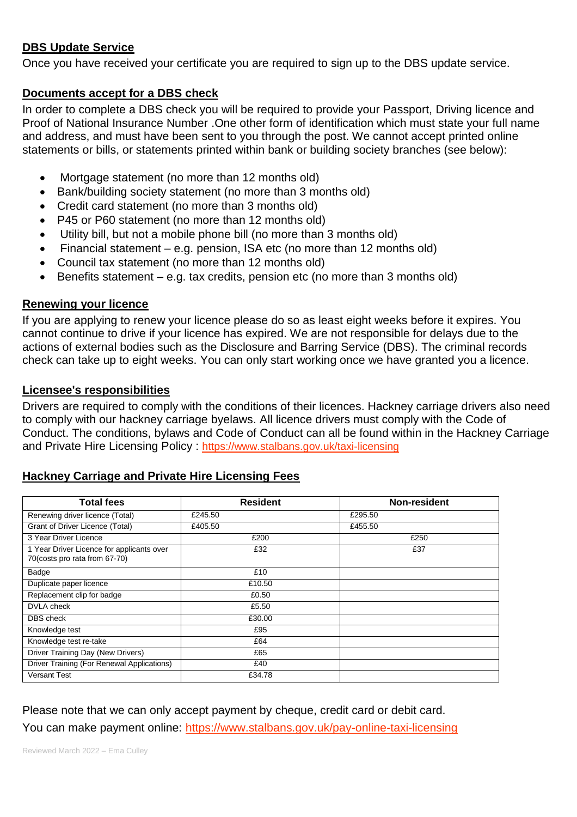# **DBS Update Service**

Once you have received your certificate you are required to sign up to the DBS update service.

# **Documents accept for a DBS check**

In order to complete a DBS check you will be required to provide your Passport, Driving licence and Proof of National Insurance Number .One other form of identification which must state your full name and address, and must have been sent to you through the post. We cannot accept printed online statements or bills, or statements printed within bank or building society branches (see below):

- Mortgage statement (no more than 12 months old)
- Bank/building society statement (no more than 3 months old)
- Credit card statement (no more than 3 months old)
- P45 or P60 statement (no more than 12 months old)
- Utility bill, but not a mobile phone bill (no more than 3 months old)
- Financial statement e.g. pension, ISA etc (no more than 12 months old)
- Council tax statement (no more than 12 months old)
- Benefits statement e.g. tax credits, pension etc (no more than 3 months old)

## **Renewing your licence**

If you are applying to renew your licence please do so as least eight weeks before it expires. You cannot continue to drive if your licence has expired. We are not responsible for delays due to the actions of external bodies such as the Disclosure and Barring Service (DBS). The criminal records check can take up to eight weeks. You can only start working once we have granted you a licence.

### **Licensee's responsibilities**

Drivers are required to comply with the conditions of their licences. Hackney carriage drivers also need to comply with our hackney carriage byelaws. All licence drivers must comply with the Code of Conduct. The conditions, bylaws and Code of Conduct can all be found within in the Hackney Carriage and Private Hire Licensing Policy : https://www.stalbans.gov.uk/taxi-licensing

# **Hackney Carriage and Private Hire Licensing Fees**

| <b>Total fees</b>                                                          | <b>Resident</b> | Non-resident |
|----------------------------------------------------------------------------|-----------------|--------------|
| Renewing driver licence (Total)                                            | £245.50         | £295.50      |
| Grant of Driver Licence (Total)                                            | £405.50         | £455.50      |
| 3 Year Driver Licence                                                      | £200            | £250         |
| 1 Year Driver Licence for applicants over<br>70(costs pro rata from 67-70) | £32             | £37          |
| Badge                                                                      | £10             |              |
| Duplicate paper licence                                                    | £10.50          |              |
| Replacement clip for badge                                                 | £0.50           |              |
| DVLA check                                                                 | £5.50           |              |
| DBS check                                                                  | £30.00          |              |
| Knowledge test                                                             | £95             |              |
| Knowledge test re-take                                                     | £64             |              |
| Driver Training Day (New Drivers)                                          | £65             |              |
| Driver Training (For Renewal Applications)                                 | £40             |              |
| <b>Versant Test</b>                                                        | £34.78          |              |

Please note that we can only accept payment by cheque, credit card or debit card. You can make payment online:<https://www.stalbans.gov.uk/pay-online-taxi-licensing>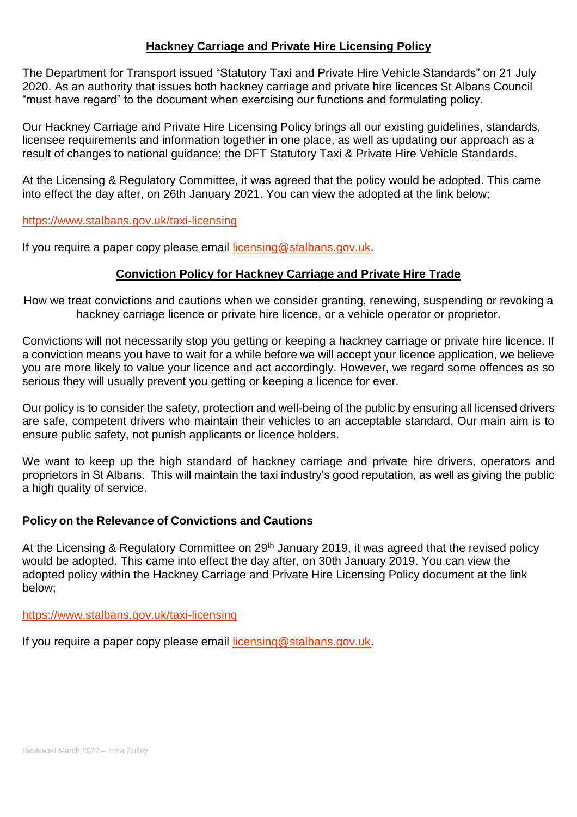# **Hackney Carriage and Private Hire Licensing Policy**

The Department for Transport issued "Statutory Taxi and Private Hire Vehicle Standards" on 21 July 2020. As an authority that issues both hackney carriage and private hire licences St Albans Council "must have regard" to the document when exercising our functions and formulating policy.

Our Hackney Carriage and Private Hire Licensing Policy brings all our existing guidelines, standards, licensee requirements and information together in one place, as well as updating our approach as a result of changes to national guidance; the DFT Statutory Taxi & Private Hire Vehicle Standards.

At the Licensing & Regulatory Committee, it was agreed that the policy would be adopted. This came into effect the day after, on 26th January 2021. You can view the adopted at the link below;

<https://www.stalbans.gov.uk/taxi-licensing>

If you require a paper copy please email [licensing@stalbans.gov.uk.](mailto:licensing@stalbans.gov.uk)

# **Conviction Policy for Hackney Carriage and Private Hire Trade**

How we treat convictions and cautions when we consider granting, renewing, suspending or revoking a hackney carriage licence or private hire licence, or a vehicle operator or proprietor.

Convictions will not necessarily stop you getting or keeping a hackney carriage or private hire licence. If a conviction means you have to wait for a while before we will accept your licence application, we believe you are more likely to value your licence and act accordingly. However, we regard some offences as so serious they will usually prevent you getting or keeping a licence for ever.

Our policy is to consider the safety, protection and well-being of the public by ensuring all licensed drivers are safe, competent drivers who maintain their vehicles to an acceptable standard. Our main aim is to ensure public safety, not punish applicants or licence holders.

We want to keep up the high standard of hackney carriage and private hire drivers, operators and proprietors in St Albans. This will maintain the taxi industry's good reputation, as well as giving the public a high quality of service.

# **Policy on the Relevance of Convictions and Cautions**

At the Licensing & Regulatory Committee on 29<sup>th</sup> January 2019, it was agreed that the revised policy would be adopted. This came into effect the day after, on 30th January 2019. You can view the adopted policy within the Hackney Carriage and Private Hire Licensing Policy document at the link below;

### <https://www.stalbans.gov.uk/taxi-licensing>

If you require a paper copy please email [licensing@stalbans.gov.uk.](mailto:licensing@stalbans.gov.uk)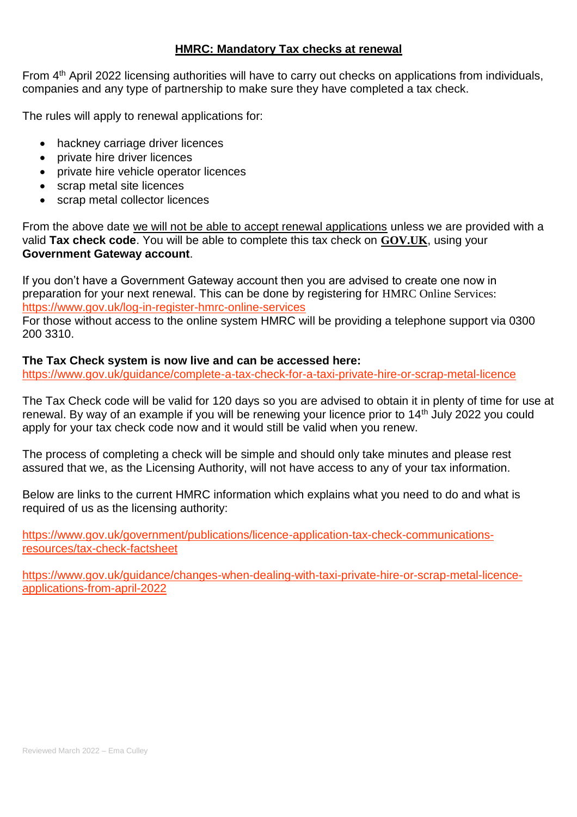# **HMRC: Mandatory Tax checks at renewal**

From 4<sup>th</sup> April 2022 licensing authorities will have to carry out checks on applications from individuals, companies and any type of partnership to make sure they have completed a tax check.

The rules will apply to renewal applications for:

- hackney carriage driver licences
- private hire driver licences
- private hire vehicle operator licences
- scrap metal site licences
- scrap metal collector licences

From the above date we will not be able to accept renewal applications unless we are provided with a valid **Tax check code**. You will be able to complete this tax check on **GOV.UK**, using your **Government Gateway account**.

If you don't have a Government Gateway account then you are advised to create one now in preparation for your next renewal. This can be done by registering for HMRC Online Services: <https://www.gov.uk/log-in-register-hmrc-online-services>

For those without access to the online system HMRC will be providing a telephone support via 0300 200 3310.

## **The Tax Check system is now live and can be accessed here:**

https://www.gov.uk/guidance/complete-a-tax-check-for-a-taxi-private-hire-or-scrap-metal-licence

The Tax Check code will be valid for 120 days so you are advised to obtain it in plenty of time for use at renewal. By way of an example if you will be renewing your licence prior to 14<sup>th</sup> July 2022 you could apply for your tax check code now and it would still be valid when you renew.

The process of completing a check will be simple and should only take minutes and please rest assured that we, as the Licensing Authority, will not have access to any of your tax information.

Below are links to the current HMRC information which explains what you need to do and what is required of us as the licensing authority:

[https://www.gov.uk/government/publications/licence-application-tax-check-communications](https://www.gov.uk/government/publications/licence-application-tax-check-communications-resources/tax-check-factsheet)[resources/tax-check-factsheet](https://www.gov.uk/government/publications/licence-application-tax-check-communications-resources/tax-check-factsheet)

https://www.gov.uk/guidance/changes-when-dealing-with-taxi-private-hire-or-scrap-metal-licenceapplications-from-april-2022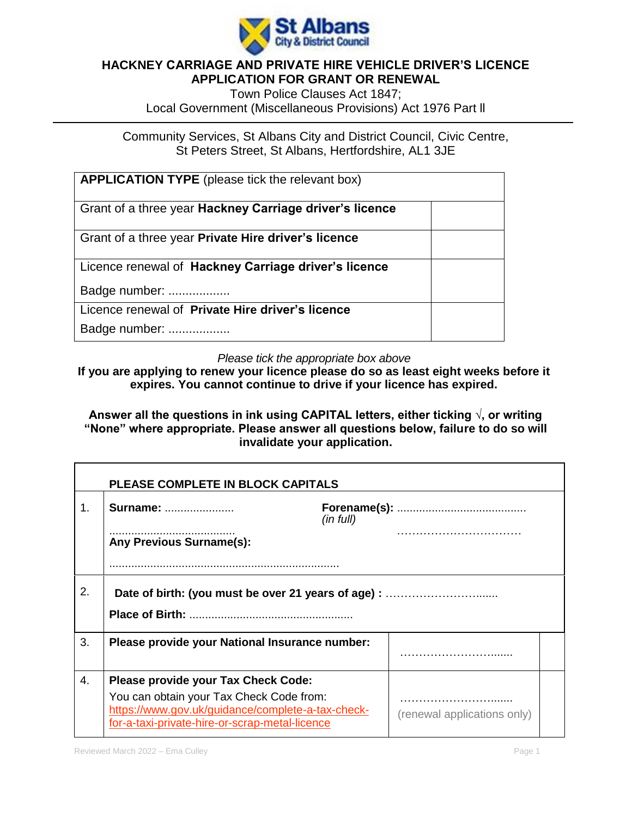

## **HACKNEY CARRIAGE AND PRIVATE HIRE VEHICLE DRIVER'S LICENCE APPLICATION FOR GRANT OR RENEWAL**

Town Police Clauses Act 1847; Local Government (Miscellaneous Provisions) Act 1976 Part ll

Community Services, St Albans City and District Council, Civic Centre, St Peters Street, St Albans, Hertfordshire, AL1 3JE

| <b>APPLICATION TYPE</b> (please tick the relevant box)  |  |
|---------------------------------------------------------|--|
| Grant of a three year Hackney Carriage driver's licence |  |
| Grant of a three year Private Hire driver's licence     |  |
| Licence renewal of Hackney Carriage driver's licence    |  |
| Badge number:                                           |  |
| Licence renewal of Private Hire driver's licence        |  |
| Badge number:                                           |  |

*Please tick the appropriate box above* 

**If you are applying to renew your licence please do so as least eight weeks before it expires. You cannot continue to drive if your licence has expired.**

**Answer all the questions in ink using CAPITAL letters, either ticking √, or writing "None" where appropriate. Please answer all questions below, failure to do so will invalidate your application.**

|                  | <b>PLEASE COMPLETE IN BLOCK CAPITALS</b>                                                                                                                                               |           |                                  |  |
|------------------|----------------------------------------------------------------------------------------------------------------------------------------------------------------------------------------|-----------|----------------------------------|--|
| $\mathbf 1$ .    | <b>Surname: </b>                                                                                                                                                                       | (in full) |                                  |  |
|                  | <b>Any Previous Surname(s):</b>                                                                                                                                                        |           |                                  |  |
| 2.               |                                                                                                                                                                                        |           |                                  |  |
| 3.               | Please provide your National Insurance number:                                                                                                                                         |           |                                  |  |
| $\overline{4}$ . | Please provide your Tax Check Code:<br>You can obtain your Tax Check Code from:<br>https://www.gov.uk/guidance/complete-a-tax-check-<br>for-a-taxi-private-hire-or-scrap-metal-licence |           | .<br>(renewal applications only) |  |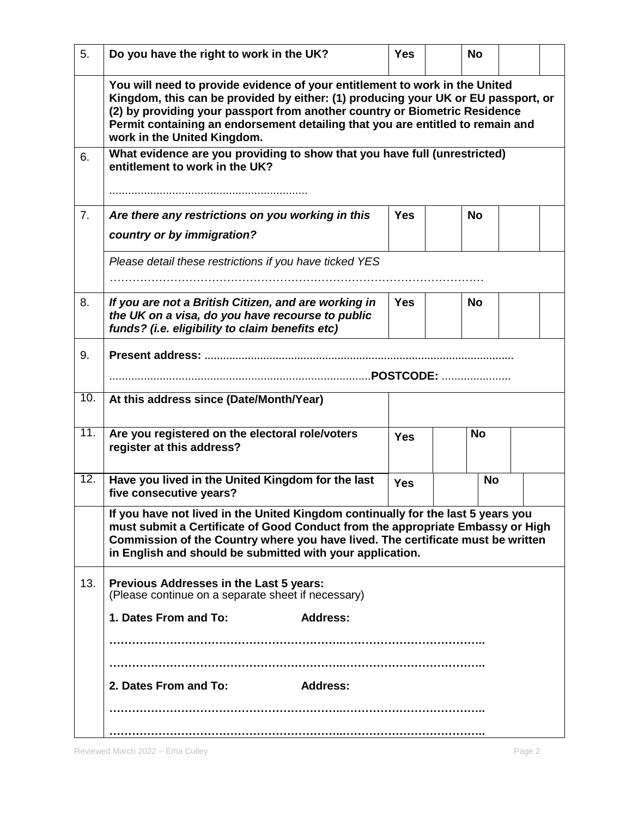| 5.                | Do you have the right to work in the UK?                                                                                                                                                                                                                                                                                                                        | <b>Yes</b> | <b>No</b> |  |
|-------------------|-----------------------------------------------------------------------------------------------------------------------------------------------------------------------------------------------------------------------------------------------------------------------------------------------------------------------------------------------------------------|------------|-----------|--|
|                   | You will need to provide evidence of your entitlement to work in the United<br>Kingdom, this can be provided by either: (1) producing your UK or EU passport, or<br>(2) by providing your passport from another country or Biometric Residence<br>Permit containing an endorsement detailing that you are entitled to remain and<br>work in the United Kingdom. |            |           |  |
| 6.                | What evidence are you providing to show that you have full (unrestricted)<br>entitlement to work in the UK?                                                                                                                                                                                                                                                     |            |           |  |
|                   |                                                                                                                                                                                                                                                                                                                                                                 |            |           |  |
| 7 <sub>1</sub>    | Are there any restrictions on you working in this                                                                                                                                                                                                                                                                                                               | <b>Yes</b> | <b>No</b> |  |
|                   | country or by immigration?                                                                                                                                                                                                                                                                                                                                      |            |           |  |
|                   | Please detail these restrictions if you have ticked YES                                                                                                                                                                                                                                                                                                         |            |           |  |
| 8.                | If you are not a British Citizen, and are working in<br>the UK on a visa, do you have recourse to public<br>funds? (i.e. eligibility to claim benefits etc)                                                                                                                                                                                                     | <b>Yes</b> | <b>No</b> |  |
| 9.                |                                                                                                                                                                                                                                                                                                                                                                 |            |           |  |
|                   |                                                                                                                                                                                                                                                                                                                                                                 |            |           |  |
| 10.               | At this address since (Date/Month/Year)                                                                                                                                                                                                                                                                                                                         |            |           |  |
| $\overline{11}$ . | Are you registered on the electoral role/voters<br>register at this address?                                                                                                                                                                                                                                                                                    | <b>Yes</b> | <b>No</b> |  |
| 12.               | Have you lived in the United Kingdom for the last<br>five consecutive years?                                                                                                                                                                                                                                                                                    | <b>Yes</b> | <b>No</b> |  |
|                   | If you have not lived in the United Kingdom continually for the last 5 years you<br>must submit a Certificate of Good Conduct from the appropriate Embassy or High<br>Commission of the Country where you have lived. The certificate must be written<br>in English and should be submitted with your application.                                              |            |           |  |
| 13.               | Previous Addresses in the Last 5 years:<br>(Please continue on a separate sheet if necessary)                                                                                                                                                                                                                                                                   |            |           |  |
|                   | 1. Dates From and To:<br><b>Address:</b>                                                                                                                                                                                                                                                                                                                        |            |           |  |
|                   |                                                                                                                                                                                                                                                                                                                                                                 |            |           |  |
|                   |                                                                                                                                                                                                                                                                                                                                                                 |            |           |  |
|                   | 2. Dates From and To:<br><b>Address:</b>                                                                                                                                                                                                                                                                                                                        |            |           |  |
|                   |                                                                                                                                                                                                                                                                                                                                                                 |            |           |  |
|                   |                                                                                                                                                                                                                                                                                                                                                                 |            |           |  |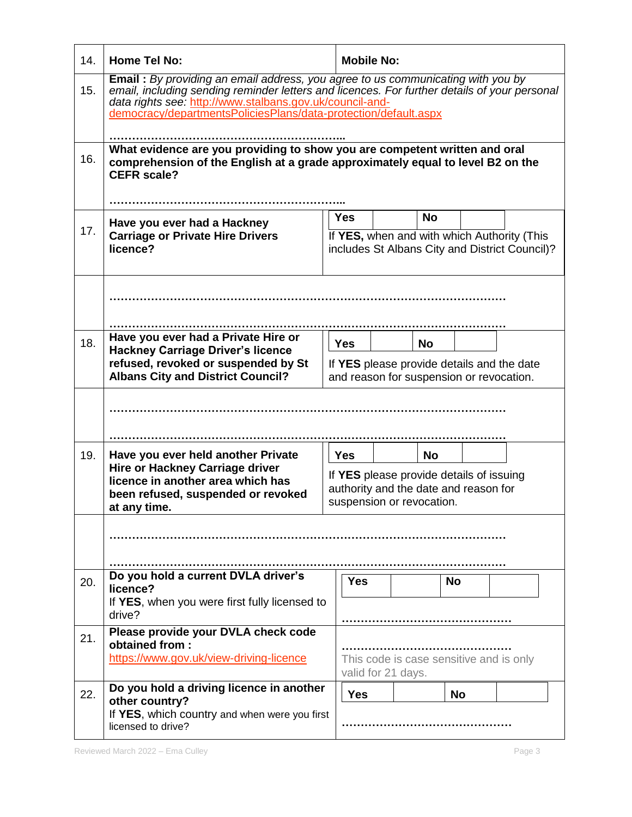| 14. | <b>Home Tel No:</b>                                                                                                                                                                                                   | <b>Mobile No:</b>                                                                             |  |  |  |
|-----|-----------------------------------------------------------------------------------------------------------------------------------------------------------------------------------------------------------------------|-----------------------------------------------------------------------------------------------|--|--|--|
| 15. | <b>Email:</b> By providing an email address, you agree to us communicating with you by<br>data rights see: http://www.stalbans.gov.uk/council-and-<br>democracy/departmentsPoliciesPlans/data-protection/default.aspx | email, including sending reminder letters and licences. For further details of your personal  |  |  |  |
| 16. | What evidence are you providing to show you are competent written and oral<br>comprehension of the English at a grade approximately equal to level B2 on the<br><b>CEFR scale?</b>                                    |                                                                                               |  |  |  |
|     |                                                                                                                                                                                                                       |                                                                                               |  |  |  |
| 17. | Have you ever had a Hackney                                                                                                                                                                                           | <b>Yes</b><br><b>No</b>                                                                       |  |  |  |
|     | <b>Carriage or Private Hire Drivers</b><br>licence?                                                                                                                                                                   | If YES, when and with which Authority (This<br>includes St Albans City and District Council)? |  |  |  |
|     |                                                                                                                                                                                                                       |                                                                                               |  |  |  |
| 18. | Have you ever had a Private Hire or                                                                                                                                                                                   | <b>Yes</b><br><b>No</b>                                                                       |  |  |  |
|     | <b>Hackney Carriage Driver's licence</b><br>refused, revoked or suspended by St<br>If YES please provide details and the date                                                                                         |                                                                                               |  |  |  |
|     | <b>Albans City and District Council?</b><br>and reason for suspension or revocation.                                                                                                                                  |                                                                                               |  |  |  |
|     |                                                                                                                                                                                                                       |                                                                                               |  |  |  |
| 19. | Have you ever held another Private                                                                                                                                                                                    | <b>No</b><br><b>Yes</b>                                                                       |  |  |  |
|     | <b>Hire or Hackney Carriage driver</b>                                                                                                                                                                                | If YES please provide details of issuing                                                      |  |  |  |
|     | licence in another area which has<br>been refused, suspended or revoked                                                                                                                                               | authority and the date and reason for                                                         |  |  |  |
|     | at any time.                                                                                                                                                                                                          | suspension or revocation.                                                                     |  |  |  |
|     |                                                                                                                                                                                                                       |                                                                                               |  |  |  |
| 20. | Do you hold a current DVLA driver's<br>licence?                                                                                                                                                                       | <b>Yes</b><br><b>No</b>                                                                       |  |  |  |
|     | If YES, when you were first fully licensed to<br>drive?                                                                                                                                                               |                                                                                               |  |  |  |
| 21. | Please provide your DVLA check code<br>obtained from:                                                                                                                                                                 |                                                                                               |  |  |  |
|     | https://www.gov.uk/view-driving-licence                                                                                                                                                                               | This code is case sensitive and is only<br>valid for 21 days.                                 |  |  |  |
| 22. | Do you hold a driving licence in another<br>other country?                                                                                                                                                            | <b>Yes</b><br><b>No</b>                                                                       |  |  |  |
|     | If YES, which country and when were you first<br>licensed to drive?                                                                                                                                                   |                                                                                               |  |  |  |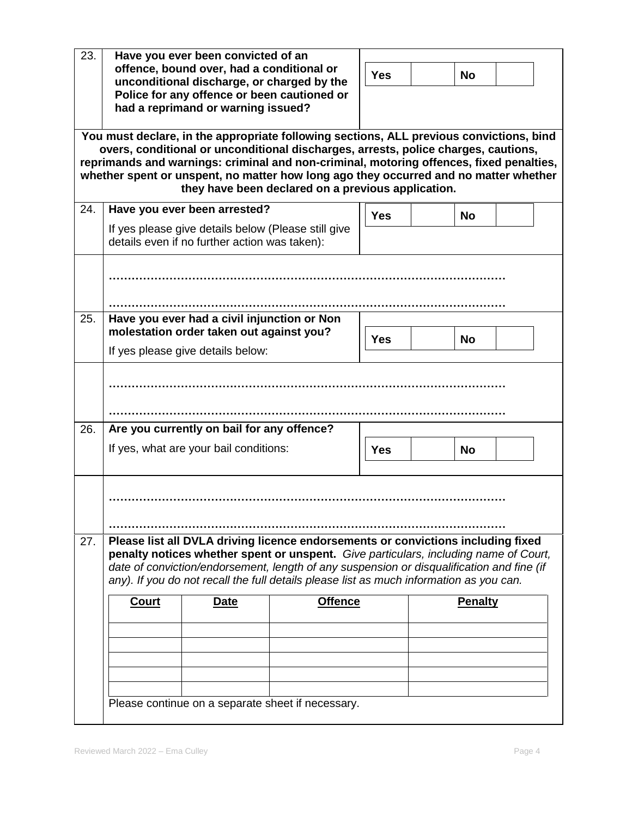| 23. |                                   | Have you ever been convicted of an<br>offence, bound over, had a conditional or<br>unconditional discharge, or charged by the<br>Police for any offence or been cautioned or<br>had a reprimand or warning issued? |                                                                                                                                                                                                                                                                                                                                                                                                                        | <b>Yes</b> | <b>No</b> |                |  |
|-----|-----------------------------------|--------------------------------------------------------------------------------------------------------------------------------------------------------------------------------------------------------------------|------------------------------------------------------------------------------------------------------------------------------------------------------------------------------------------------------------------------------------------------------------------------------------------------------------------------------------------------------------------------------------------------------------------------|------------|-----------|----------------|--|
|     |                                   |                                                                                                                                                                                                                    | You must declare, in the appropriate following sections, ALL previous convictions, bind<br>overs, conditional or unconditional discharges, arrests, police charges, cautions,<br>reprimands and warnings: criminal and non-criminal, motoring offences, fixed penalties,<br>whether spent or unspent, no matter how long ago they occurred and no matter whether<br>they have been declared on a previous application. |            |           |                |  |
| 24. |                                   | Have you ever been arrested?                                                                                                                                                                                       |                                                                                                                                                                                                                                                                                                                                                                                                                        | <b>Yes</b> | <b>No</b> |                |  |
|     |                                   | If yes please give details below (Please still give<br>details even if no further action was taken):                                                                                                               |                                                                                                                                                                                                                                                                                                                                                                                                                        |            |           |                |  |
|     |                                   |                                                                                                                                                                                                                    |                                                                                                                                                                                                                                                                                                                                                                                                                        |            |           |                |  |
|     |                                   |                                                                                                                                                                                                                    |                                                                                                                                                                                                                                                                                                                                                                                                                        |            |           |                |  |
| 25. |                                   | Have you ever had a civil injunction or Non<br>molestation order taken out against you?                                                                                                                            |                                                                                                                                                                                                                                                                                                                                                                                                                        | <b>Yes</b> | <b>No</b> |                |  |
|     | If yes please give details below: |                                                                                                                                                                                                                    |                                                                                                                                                                                                                                                                                                                                                                                                                        |            |           |                |  |
|     |                                   |                                                                                                                                                                                                                    |                                                                                                                                                                                                                                                                                                                                                                                                                        |            |           |                |  |
| 26. |                                   | Are you currently on bail for any offence?                                                                                                                                                                         |                                                                                                                                                                                                                                                                                                                                                                                                                        |            |           |                |  |
|     |                                   | If yes, what are your bail conditions:                                                                                                                                                                             |                                                                                                                                                                                                                                                                                                                                                                                                                        | <b>Yes</b> | No        |                |  |
|     |                                   |                                                                                                                                                                                                                    |                                                                                                                                                                                                                                                                                                                                                                                                                        |            |           |                |  |
| 27. |                                   |                                                                                                                                                                                                                    | Please list all DVLA driving licence endorsements or convictions including fixed<br>penalty notices whether spent or unspent. Give particulars, including name of Court,<br>date of conviction/endorsement, length of any suspension or disqualification and fine (if<br>any). If you do not recall the full details please list as much information as you can.                                                       |            |           |                |  |
|     | <b>Court</b>                      | <b>Date</b>                                                                                                                                                                                                        | <b>Offence</b>                                                                                                                                                                                                                                                                                                                                                                                                         |            |           | <b>Penalty</b> |  |
|     |                                   |                                                                                                                                                                                                                    |                                                                                                                                                                                                                                                                                                                                                                                                                        |            |           |                |  |
|     |                                   |                                                                                                                                                                                                                    |                                                                                                                                                                                                                                                                                                                                                                                                                        |            |           |                |  |
|     |                                   |                                                                                                                                                                                                                    |                                                                                                                                                                                                                                                                                                                                                                                                                        |            |           |                |  |
|     |                                   |                                                                                                                                                                                                                    |                                                                                                                                                                                                                                                                                                                                                                                                                        |            |           |                |  |
|     |                                   |                                                                                                                                                                                                                    |                                                                                                                                                                                                                                                                                                                                                                                                                        |            |           |                |  |
|     |                                   |                                                                                                                                                                                                                    | Please continue on a separate sheet if necessary.                                                                                                                                                                                                                                                                                                                                                                      |            |           |                |  |
|     |                                   |                                                                                                                                                                                                                    |                                                                                                                                                                                                                                                                                                                                                                                                                        |            |           |                |  |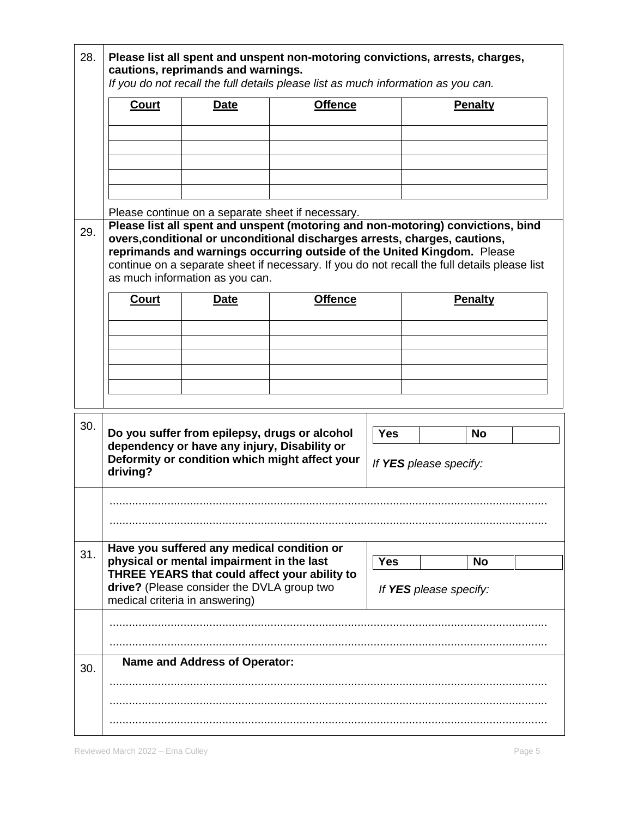|     |                                |                                              | If you do not recall the full details please list as much information as you can.                                                                                                                                                                                                                                                        |            |                        |                |  |
|-----|--------------------------------|----------------------------------------------|------------------------------------------------------------------------------------------------------------------------------------------------------------------------------------------------------------------------------------------------------------------------------------------------------------------------------------------|------------|------------------------|----------------|--|
|     | <b>Court</b>                   | <b>Date</b>                                  | <b>Offence</b>                                                                                                                                                                                                                                                                                                                           |            |                        | <b>Penalty</b> |  |
|     |                                |                                              |                                                                                                                                                                                                                                                                                                                                          |            |                        |                |  |
|     |                                |                                              |                                                                                                                                                                                                                                                                                                                                          |            |                        |                |  |
|     |                                |                                              |                                                                                                                                                                                                                                                                                                                                          |            |                        |                |  |
|     |                                |                                              |                                                                                                                                                                                                                                                                                                                                          |            |                        |                |  |
|     |                                |                                              |                                                                                                                                                                                                                                                                                                                                          |            |                        |                |  |
|     |                                |                                              | Please continue on a separate sheet if necessary.                                                                                                                                                                                                                                                                                        |            |                        |                |  |
| 29. |                                | as much information as you can.              | Please list all spent and unspent (motoring and non-motoring) convictions, bind<br>overs, conditional or unconditional discharges arrests, charges, cautions,<br>reprimands and warnings occurring outside of the United Kingdom. Please<br>continue on a separate sheet if necessary. If you do not recall the full details please list |            |                        |                |  |
|     | <b>Court</b>                   | <b>Date</b>                                  | <b>Offence</b>                                                                                                                                                                                                                                                                                                                           |            |                        | <b>Penalty</b> |  |
|     |                                |                                              |                                                                                                                                                                                                                                                                                                                                          |            |                        |                |  |
|     |                                |                                              |                                                                                                                                                                                                                                                                                                                                          |            |                        |                |  |
|     |                                |                                              |                                                                                                                                                                                                                                                                                                                                          |            |                        |                |  |
|     |                                |                                              |                                                                                                                                                                                                                                                                                                                                          |            |                        |                |  |
|     |                                |                                              |                                                                                                                                                                                                                                                                                                                                          |            |                        |                |  |
|     |                                |                                              |                                                                                                                                                                                                                                                                                                                                          |            |                        |                |  |
| 30. |                                | dependency or have any injury, Disability or | Do you suffer from epilepsy, drugs or alcohol                                                                                                                                                                                                                                                                                            | <b>Yes</b> |                        | <b>No</b>      |  |
|     | driving?                       |                                              | Deformity or condition which might affect your                                                                                                                                                                                                                                                                                           |            | If YES please specify: |                |  |
|     |                                |                                              |                                                                                                                                                                                                                                                                                                                                          |            |                        |                |  |
|     |                                |                                              |                                                                                                                                                                                                                                                                                                                                          |            |                        |                |  |
|     |                                |                                              |                                                                                                                                                                                                                                                                                                                                          |            |                        |                |  |
| 31. |                                | Have you suffered any medical condition or   |                                                                                                                                                                                                                                                                                                                                          |            |                        |                |  |
|     |                                | physical or mental impairment in the last    | THREE YEARS that could affect your ability to                                                                                                                                                                                                                                                                                            | <b>Yes</b> |                        | No             |  |
|     | medical criteria in answering) | drive? (Please consider the DVLA group two   |                                                                                                                                                                                                                                                                                                                                          |            | If YES please specify: |                |  |
|     |                                |                                              |                                                                                                                                                                                                                                                                                                                                          |            |                        |                |  |
|     |                                |                                              |                                                                                                                                                                                                                                                                                                                                          |            |                        |                |  |
|     |                                |                                              |                                                                                                                                                                                                                                                                                                                                          |            |                        |                |  |
|     |                                | <b>Name and Address of Operator:</b>         |                                                                                                                                                                                                                                                                                                                                          |            |                        |                |  |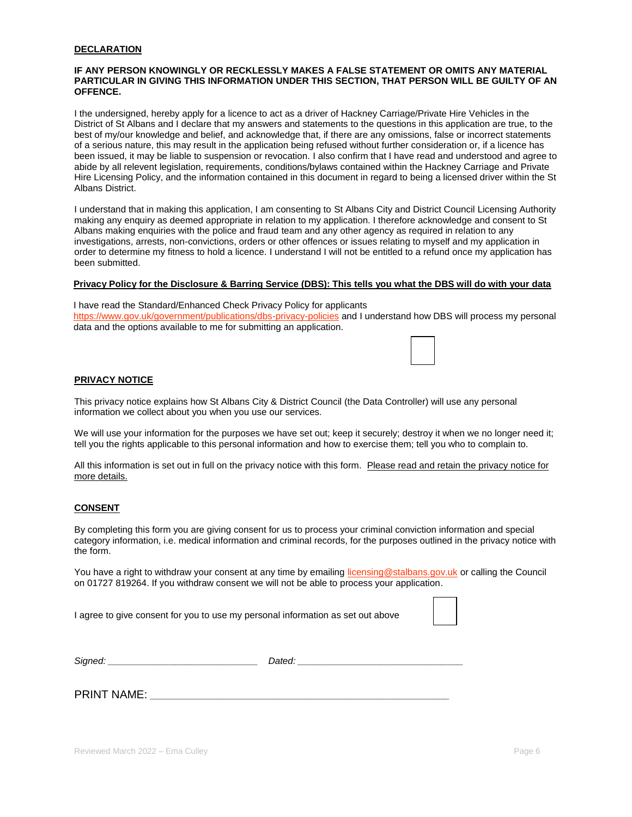#### **DECLARATION**

### **IF ANY PERSON KNOWINGLY OR RECKLESSLY MAKES A FALSE STATEMENT OR OMITS ANY MATERIAL PARTICULAR IN GIVING THIS INFORMATION UNDER THIS SECTION, THAT PERSON WILL BE GUILTY OF AN OFFENCE.**

I the undersigned, hereby apply for a licence to act as a driver of Hackney Carriage/Private Hire Vehicles in the District of St Albans and I declare that my answers and statements to the questions in this application are true, to the best of my/our knowledge and belief, and acknowledge that, if there are any omissions, false or incorrect statements of a serious nature, this may result in the application being refused without further consideration or, if a licence has been issued, it may be liable to suspension or revocation. I also confirm that I have read and understood and agree to abide by all relevent legislation, requirements, conditions/bylaws contained within the Hackney Carriage and Private Hire Licensing Policy, and the information contained in this document in regard to being a licensed driver within the St Albans District.

I understand that in making this application, I am consenting to St Albans City and District Council Licensing Authority making any enquiry as deemed appropriate in relation to my application. I therefore acknowledge and consent to St Albans making enquiries with the police and fraud team and any other agency as required in relation to any investigations, arrests, non-convictions, orders or other offences or issues relating to myself and my application in order to determine my fitness to hold a licence. I understand I will not be entitled to a refund once my application has been submitted.

### **Privacy Policy for the Disclosure & Barring Service (DBS): This tells you what the DBS will do with your data**

I have read the Standard/Enhanced Check Privacy Policy for applicants <https://www.gov.uk/government/publications/dbs-privacy-policies> and I understand how DBS will process my personal data and the options available to me for submitting an application.

### **PRIVACY NOTICE**

This privacy notice explains how St Albans City & District Council (the Data Controller) will use any personal information we collect about you when you use our services.

We will use your information for the purposes we have set out; keep it securely; destroy it when we no longer need it; tell you the rights applicable to this personal information and how to exercise them; tell you who to complain to.

All this information is set out in full on the privacy notice with this form. Please read and retain the privacy notice for more details.

#### **CONSENT**

By completing this form you are giving consent for us to process your criminal conviction information and special category information, i.e. medical information and criminal records, for the purposes outlined in the privacy notice with the form.

You have a right to withdraw your consent at any time by emailin[g licensing@stalbans.gov.uk](mailto:licensing@stalbans.gov.uk) or calling the Council on 01727 819264. If you withdraw consent we will not be able to process your application.

I agree to give consent for you to use my personal information as set out above

| Signed: |  |
|---------|--|

 $Dated$ :  $\Box$ 

PRINT NAME: *\_\_\_\_\_\_\_\_\_\_\_\_\_\_\_\_\_\_\_\_\_\_\_\_\_\_\_\_\_\_\_\_\_\_\_\_\_\_\_\_\_\_\_\_\_\_\_\_\_\_\_\_\_\_\_\_\_\_*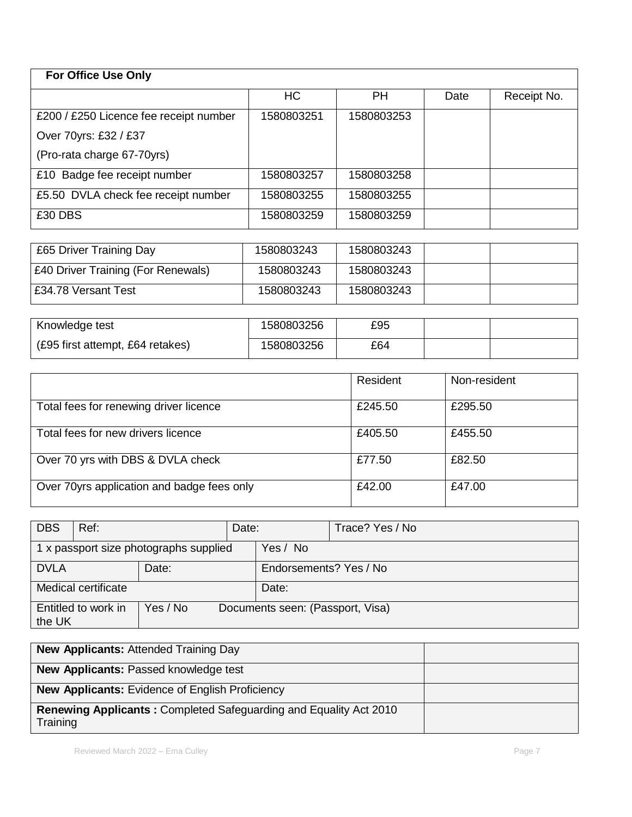| <b>For Office Use Only</b>             |            |            |      |             |
|----------------------------------------|------------|------------|------|-------------|
|                                        | HC         | PН         | Date | Receipt No. |
| £200 / £250 Licence fee receipt number | 1580803251 | 1580803253 |      |             |
| Over 70yrs: £32 / £37                  |            |            |      |             |
| (Pro-rata charge 67-70yrs)             |            |            |      |             |
| £10 Badge fee receipt number           | 1580803257 | 1580803258 |      |             |
| £5.50 DVLA check fee receipt number    | 1580803255 | 1580803255 |      |             |
| £30 DBS                                | 1580803259 | 1580803259 |      |             |

| £65 Driver Training Day            | 1580803243 | 1580803243 |  |
|------------------------------------|------------|------------|--|
| E40 Driver Training (For Renewals) | 1580803243 | 1580803243 |  |
| E34.78 Versant Test                | 1580803243 | 1580803243 |  |

| Knowledge test                   | 1580803256 | £95 |  |
|----------------------------------|------------|-----|--|
| (£95 first attempt, £64 retakes) | 1580803256 | £64 |  |

|                                             | Resident | Non-resident |
|---------------------------------------------|----------|--------------|
| Total fees for renewing driver licence      | £245.50  | £295.50      |
| Total fees for new drivers licence          | £405.50  | £455.50      |
| Over 70 yrs with DBS & DVLA check           | £77.50   | £82.50       |
| Over 70 yrs application and badge fees only | £42.00   | £47.00       |

| <b>DBS</b>                             | Ref:                |                                              | Date: |                        | Trace? Yes / No |
|----------------------------------------|---------------------|----------------------------------------------|-------|------------------------|-----------------|
| 1 x passport size photographs supplied |                     | Yes / No                                     |       |                        |                 |
| <b>DVLA</b>                            |                     | Date:                                        |       | Endorsements? Yes / No |                 |
| Medical certificate<br>Date:           |                     |                                              |       |                        |                 |
| the UK                                 | Entitled to work in | Yes / No<br>Documents seen: (Passport, Visa) |       |                        |                 |

| <b>New Applicants: Attended Training Day</b>                                         |  |
|--------------------------------------------------------------------------------------|--|
| New Applicants: Passed knowledge test                                                |  |
| <b>New Applicants: Evidence of English Proficiency</b>                               |  |
| <b>Renewing Applicants: Completed Safeguarding and Equality Act 2010</b><br>Training |  |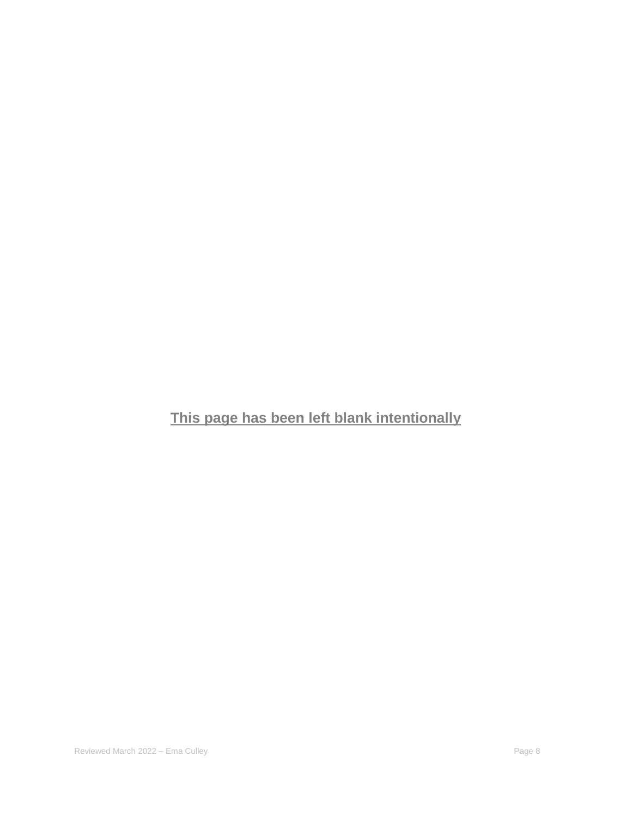**This page has been left blank intentionally**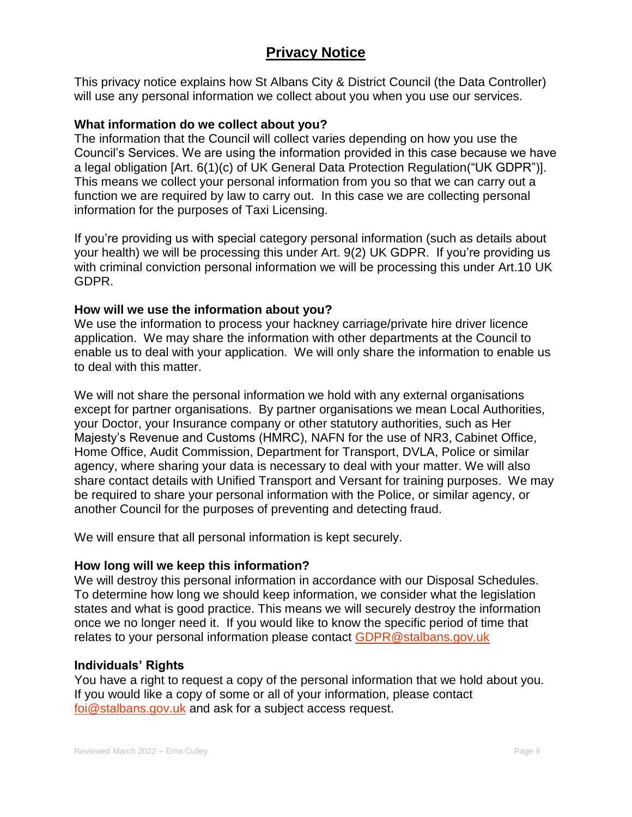# **Privacy Notice**

This privacy notice explains how St Albans City & District Council (the Data Controller) will use any personal information we collect about you when you use our services.

### **What information do we collect about you?**

The information that the Council will collect varies depending on how you use the Council's Services. We are using the information provided in this case because we have a legal obligation [Art. 6(1)(c) of UK General Data Protection Regulation("UK GDPR")]. This means we collect your personal information from you so that we can carry out a function we are required by law to carry out. In this case we are collecting personal information for the purposes of Taxi Licensing.

If you're providing us with special category personal information (such as details about your health) we will be processing this under Art. 9(2) UK GDPR. If you're providing us with criminal conviction personal information we will be processing this under Art.10 UK GDPR.

### **How will we use the information about you?**

We use the information to process your hackney carriage/private hire driver licence application. We may share the information with other departments at the Council to enable us to deal with your application. We will only share the information to enable us to deal with this matter.

We will not share the personal information we hold with any external organisations except for partner organisations. By partner organisations we mean Local Authorities, your Doctor, your Insurance company or other statutory authorities, such as Her Majesty's Revenue and Customs (HMRC), NAFN for the use of NR3*,* Cabinet Office, Home Office, Audit Commission, Department for Transport, DVLA, Police or similar agency, where sharing your data is necessary to deal with your matter. We will also share contact details with Unified Transport and Versant for training purposes. We may be required to share your personal information with the Police, or similar agency, or another Council for the purposes of preventing and detecting fraud.

We will ensure that all personal information is kept securely.

### **How long will we keep this information?**

We will destroy this personal information in accordance with our Disposal Schedules. To determine how long we should keep information, we consider what the legislation states and what is good practice. This means we will securely destroy the information once we no longer need it. If you would like to know the specific period of time that relates to your personal information please contact [GDPR@stalbans.gov.uk](mailto:GDPR@stalbans.gov.uk)

### **Individuals' Rights**

You have a right to request a copy of the personal information that we hold about you. If you would like a copy of some or all of your information, please contact [foi@stalbans.gov.uk](mailto:foi@stalbans.gov.uk) and ask for a subject access request.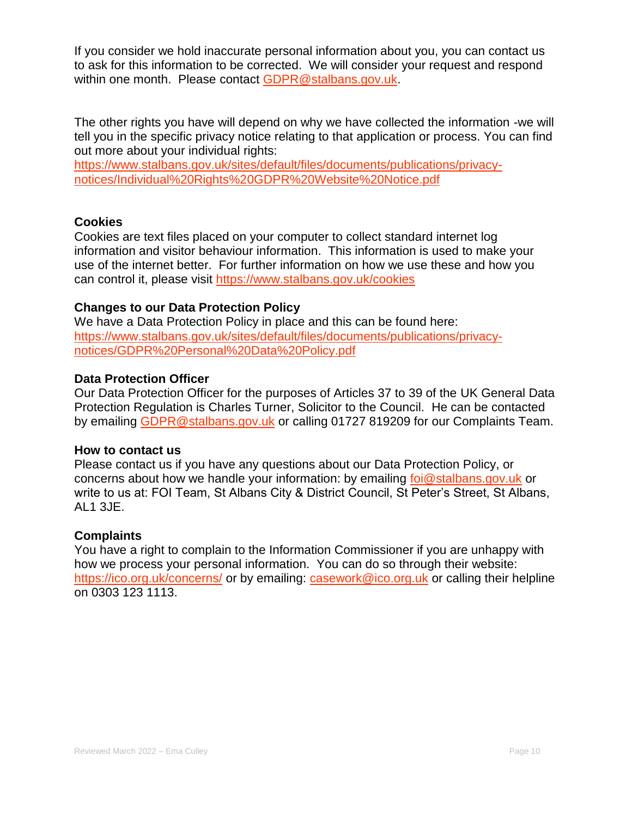If you consider we hold inaccurate personal information about you, you can contact us to ask for this information to be corrected. We will consider your request and respond within one month. Please contact [GDPR@stalbans.gov.uk.](mailto:GDPR@stalbans.gov.uk)

The other rights you have will depend on why we have collected the information -we will tell you in the specific privacy notice relating to that application or process. You can find out more about your individual rights:

[https://www.stalbans.gov.uk/sites/default/files/documents/publications/privacy](https://www.stalbans.gov.uk/sites/default/files/documents/publications/privacy-notices/Individual%20Rights%20GDPR%20Website%20Notice.pdf)[notices/Individual%20Rights%20GDPR%20Website%20Notice.pdf](https://www.stalbans.gov.uk/sites/default/files/documents/publications/privacy-notices/Individual%20Rights%20GDPR%20Website%20Notice.pdf)

## **Cookies**

Cookies are text files placed on your computer to collect standard internet log information and visitor behaviour information. This information is used to make your use of the internet better. For further information on how we use these and how you can control it, please visit<https://www.stalbans.gov.uk/cookies>

## **Changes to our Data Protection Policy**

We have a Data Protection Policy in place and this can be found here: [https://www.stalbans.gov.uk/sites/default/files/documents/publications/privacy](https://www.stalbans.gov.uk/sites/default/files/documents/publications/privacy-notices/GDPR%20Personal%20Data%20Policy.pdf)[notices/GDPR%20Personal%20Data%20Policy.pdf](https://www.stalbans.gov.uk/sites/default/files/documents/publications/privacy-notices/GDPR%20Personal%20Data%20Policy.pdf)

## **Data Protection Officer**

Our Data Protection Officer for the purposes of Articles 37 to 39 of the UK General Data Protection Regulation is Charles Turner, Solicitor to the Council. He can be contacted by emailing [GDPR@stalbans.gov.uk](mailto:GDPR@stalbans.gov.uk) or calling 01727 819209 for our Complaints Team.

### **How to contact us**

Please contact us if you have any questions about our Data Protection Policy, or concerns about how we handle your information: by emailing [foi@stalbans.gov.uk](mailto:foi@stalbans.gov.uk) or write to us at: FOI Team, St Albans City & District Council, St Peter's Street, St Albans, AL1 3JE.

# **Complaints**

You have a right to complain to the Information Commissioner if you are unhappy with how we process your personal information. You can do so through their website: <https://ico.org.uk/concerns/> or by emailing: [casework@ico.org.uk](mailto:casework@ico.org.uk) or calling their helpline on 0303 123 1113.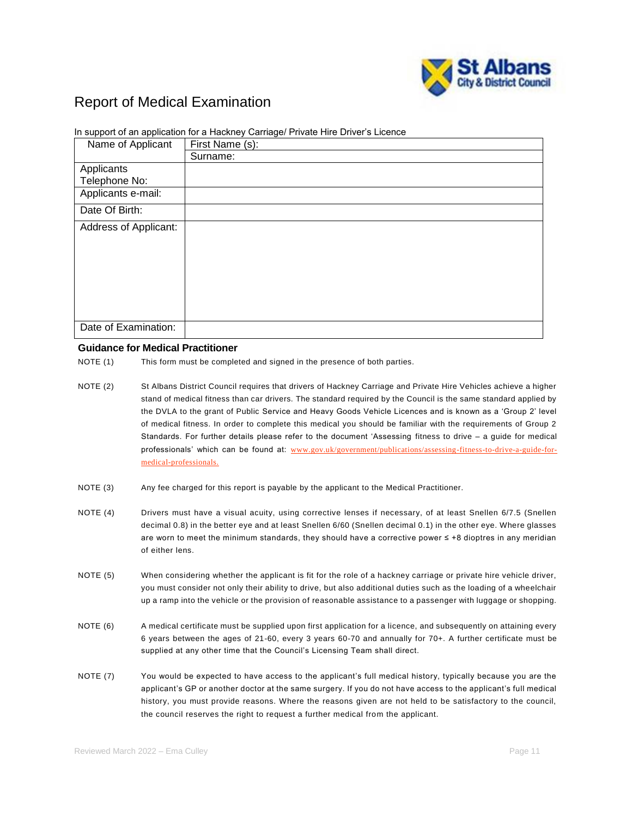

# Report of Medical Examination

| . .<br>$\overline{\phantom{a}}$<br>Name of Applicant | ັ<br>First Name (s): |
|------------------------------------------------------|----------------------|
|                                                      | Surname:             |
| Applicants                                           |                      |
| Telephone No:                                        |                      |
| Applicants e-mail:                                   |                      |
| Date Of Birth:                                       |                      |
| Address of Applicant:                                |                      |
|                                                      |                      |
|                                                      |                      |
|                                                      |                      |
|                                                      |                      |
|                                                      |                      |
|                                                      |                      |
| Date of Examination:                                 |                      |

In support of an application for a Hackney Carriage/ Private Hire Driver's Licence

### **Guidance for Medical Practitioner**

NOTE (1) This form must be completed and signed in the presence of both parties.

- NOTE (3) Any fee charged for this report is payable by the applicant to the Medical Practitioner.
- NOTE (4) Drivers must have a visual acuity, using corrective lenses if necessary, of at least Snellen 6/7.5 (Snellen decimal 0.8) in the better eye and at least Snellen 6/60 (Snellen decimal 0.1) in the other eye. Where glasses are worn to meet the minimum standards, they should have a corrective power ≤ +8 dioptres in any meridian of either lens.
- NOTE (5) When considering whether the applicant is fit for the role of a hackney carriage or private hire vehicle driver, you must consider not only their ability to drive, but also additional duties such as the loading of a wheelchair up a ramp into the vehicle or the provision of reasonable assistance to a passenger with luggage or shopping.
- NOTE (6) A medical certificate must be supplied upon first application for a licence, and subsequently on attaining every 6 years between the ages of 21-60, every 3 years 60-70 and annually for 70+. A further certificate must be supplied at any other time that the Council's Licensing Team shall direct.
- NOTE (7) You would be expected to have access to the applicant's full medical history, typically because you are the applicant's GP or another doctor at the same surgery. If you do not have access to the applicant's full medical history, you must provide reasons. Where the reasons given are not held to be satisfactory to the council, the council reserves the right to request a further medical from the applicant.

NOTE (2) St Albans District Council requires that drivers of Hackney Carriage and Private Hire Vehicles achieve a higher stand of medical fitness than car drivers. The standard required by the Council is the same standard applied by the DVLA to the grant of Public Service and Heavy Goods Vehicle Licences and is known as a 'Group 2' level of medical fitness. In order to complete this medical you should be familiar with the requirements of Group 2 Standards. For further details please refer to the document 'Assessing fitness to drive – a guide for medical professionals' which can be found at: [www.gov.uk/government/publications/assessing-fitness-to-drive-a-guide-for](http://www.gov.uk/government/publications/assessing-fitness-to-drive-a-guide-for-medical-professionals.)[medical-professionals.](http://www.gov.uk/government/publications/assessing-fitness-to-drive-a-guide-for-medical-professionals.)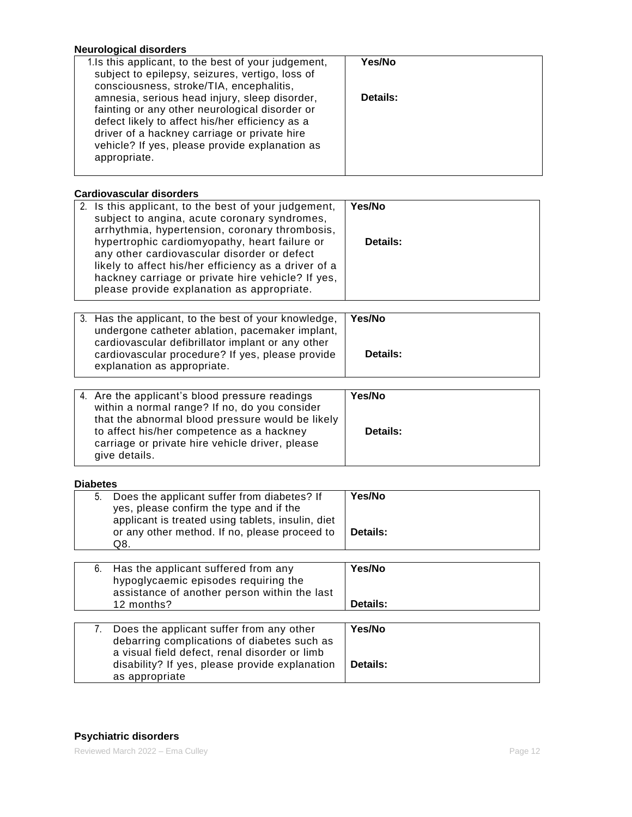### **Neurological disorders**

| 1. Is this applicant, to the best of your judgement,<br>subject to epilepsy, seizures, vertigo, loss of<br>consciousness, stroke/TIA, encephalitis,                                                                                                                  | Yes/No   |
|----------------------------------------------------------------------------------------------------------------------------------------------------------------------------------------------------------------------------------------------------------------------|----------|
| amnesia, serious head injury, sleep disorder,<br>fainting or any other neurological disorder or<br>defect likely to affect his/her efficiency as a<br>driver of a hackney carriage or private hire<br>vehicle? If yes, please provide explanation as<br>appropriate. | Details: |

### **Cardiovascular disorders**

| 2. Is this applicant, to the best of your judgement, | Yes/No   |
|------------------------------------------------------|----------|
| subject to angina, acute coronary syndromes,         |          |
| arrhythmia, hypertension, coronary thrombosis,       |          |
| hypertrophic cardiomyopathy, heart failure or        | Details: |
| any other cardiovascular disorder or defect          |          |
| likely to affect his/her efficiency as a driver of a |          |
| hackney carriage or private hire vehicle? If yes,    |          |
| please provide explanation as appropriate.           |          |
|                                                      |          |

| 3. Has the applicant, to the best of your knowledge,                                                  | Yes/No   |
|-------------------------------------------------------------------------------------------------------|----------|
| undergone catheter ablation, pacemaker implant,                                                       |          |
| cardiovascular defibrillator implant or any other<br>cardiovascular procedure? If yes, please provide | Details: |
| explanation as appropriate.                                                                           |          |

| 4. Are the applicant's blood pressure readings<br>within a normal range? If no, do you consider<br>that the abnormal blood pressure would be likely<br>to affect his/her competence as a hackney<br>carriage or private hire vehicle driver, please<br>give details. | Yes/No<br>Details: |
|----------------------------------------------------------------------------------------------------------------------------------------------------------------------------------------------------------------------------------------------------------------------|--------------------|
|                                                                                                                                                                                                                                                                      |                    |

### **Diabetes**

| 5. Does the applicant suffer from diabetes? If<br>yes, please confirm the type and if the                 | Yes/No          |  |  |  |
|-----------------------------------------------------------------------------------------------------------|-----------------|--|--|--|
| applicant is treated using tablets, insulin, diet<br>or any other method. If no, please proceed to<br>Q8. | <b>Details:</b> |  |  |  |

| 6. | Has the applicant suffered from any<br>hypoglycaemic episodes requiring the<br>assistance of another person within the last<br>12 months? | Yes/No<br>Details: |
|----|-------------------------------------------------------------------------------------------------------------------------------------------|--------------------|
|    | Does the applicant suffer from any other<br>debarring complications of diabetes such as                                                   | Yes/No             |
|    | a visual field defect, renal disorder or limb                                                                                             |                    |

**Details:**

disability? If yes, please provide explanation

as appropriate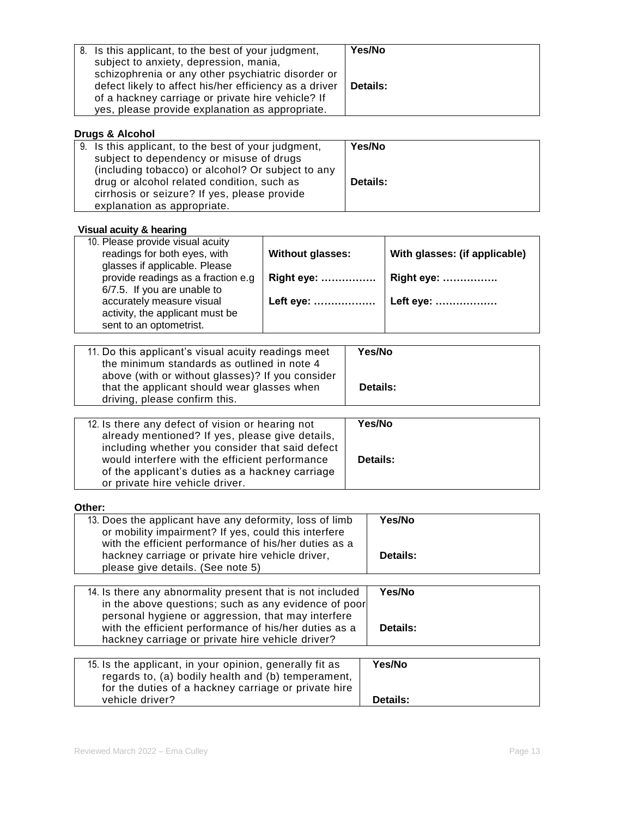| 8. Is this applicant, to the best of your judgment,<br>subject to anxiety, depression, mania,<br>schizophrenia or any other psychiatric disorder or<br>defect likely to affect his/her efficiency as a driver<br>of a hackney carriage or private hire vehicle? If<br>yes, please provide explanation as appropriate. | Yes/No<br>Details: |
|-----------------------------------------------------------------------------------------------------------------------------------------------------------------------------------------------------------------------------------------------------------------------------------------------------------------------|--------------------|
|-----------------------------------------------------------------------------------------------------------------------------------------------------------------------------------------------------------------------------------------------------------------------------------------------------------------------|--------------------|

### **Drugs & Alcohol**

| 9. Is this applicant, to the best of your judgment, | Yes/No   |
|-----------------------------------------------------|----------|
| subject to dependency or misuse of drugs            |          |
| (including tobacco) or alcohol? Or subject to any   |          |
| drug or alcohol related condition, such as          | Details: |
| cirrhosis or seizure? If yes, please provide        |          |
| explanation as appropriate.                         |          |

# **Visual acuity & hearing**

| 10. Please provide visual acuity   |                         |                               |
|------------------------------------|-------------------------|-------------------------------|
| readings for both eyes, with       | <b>Without glasses:</b> | With glasses: (if applicable) |
| glasses if applicable. Please      |                         |                               |
| provide readings as a fraction e.g | <b>Right eye: </b>      | Right eye:                    |
| 6/7.5. If you are unable to        |                         |                               |
| accurately measure visual          | Left eye:               | Left eye:                     |
| activity, the applicant must be    |                         |                               |
| sent to an optometrist.            |                         |                               |

| 11. Do this applicant's visual acuity readings meet<br>the minimum standards as outlined in note 4                               | Yes/No          |
|----------------------------------------------------------------------------------------------------------------------------------|-----------------|
| above (with or without glasses)? If you consider<br>that the applicant should wear glasses when<br>driving, please confirm this. | <b>Details:</b> |

| 12. Is there any defect of vision or hearing not | Yes/No   |
|--------------------------------------------------|----------|
| already mentioned? If yes, please give details,  |          |
| including whether you consider that said defect  |          |
| would interfere with the efficient performance   | Details: |
| of the applicant's duties as a hackney carriage  |          |
| or private hire vehicle driver.                  |          |

### **Other:**

| 13. Does the applicant have any deformity, loss of limb<br>or mobility impairment? If yes, could this interfere<br>with the efficient performance of his/her duties as a<br>hackney carriage or private hire vehicle driver,<br>please give details. (See note 5)                    | Yes/No<br>Details: |
|--------------------------------------------------------------------------------------------------------------------------------------------------------------------------------------------------------------------------------------------------------------------------------------|--------------------|
|                                                                                                                                                                                                                                                                                      |                    |
| 14. Is there any abnormality present that is not included<br>in the above questions; such as any evidence of poor<br>personal hygiene or aggression, that may interfere<br>with the efficient performance of his/her duties as a<br>hackney carriage or private hire vehicle driver? | Yes/No<br>Details: |
| 15. Is the applicant, in your opinion, generally fit as<br>regards to, (a) bodily health and (b) temperament,<br>for the duties of a hackney carriage or private hire<br>vehicle driver?                                                                                             | Yes/No<br>Details: |